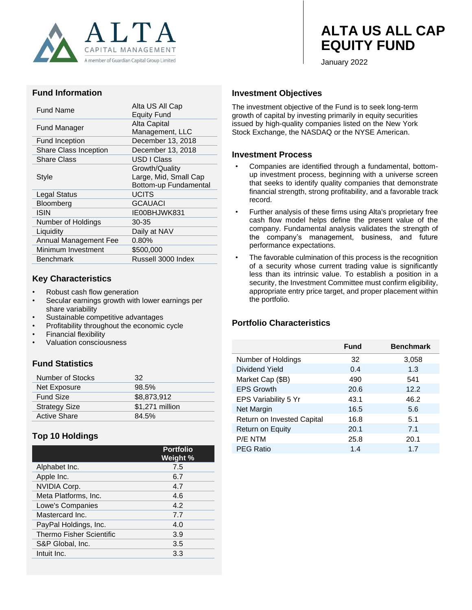

# **ALTA US ALL CAP EQUITY FUND**

January 2022

#### **Fund Information**

| Fund Name                    | Alta US All Cap<br><b>Equity Fund</b> |
|------------------------------|---------------------------------------|
| Fund Manager                 | Alta Capital                          |
|                              | Management, LLC                       |
| Fund Inception               | December 13, 2018                     |
| <b>Share Class Inception</b> | December 13, 2018                     |
| <b>Share Class</b>           | USD I Class                           |
|                              | Growth/Quality                        |
| Style                        | Large, Mid, Small Cap                 |
|                              | Bottom-up Fundamental                 |
| Legal Status                 | <b>UCITS</b>                          |
| Bloomberg                    | <b>GCAUACI</b>                        |
| ISIN                         | IE00BHJWK831                          |
| Number of Holdings           | 30-35                                 |
| Liquidity                    | Daily at NAV                          |
| Annual Management Fee        | $0.80\%$                              |
| Minimum Investment           | \$500,000                             |
| Benchmark                    | Russell 3000 Index                    |
|                              |                                       |

### **Key Characteristics**

- Robust cash flow generation
- Secular earnings growth with lower earnings per share variability
- Sustainable competitive advantages
- Profitability throughout the economic cycle
- Financial flexibility
- Valuation consciousness

# **Fund Statistics**

| Number of Stocks     | 32              |
|----------------------|-----------------|
| Net Exposure         | 98.5%           |
| <b>Fund Size</b>     | \$8,873,912     |
| <b>Strategy Size</b> | \$1,271 million |
| <b>Active Share</b>  | 84.5%           |

# **Top 10 Holdings**

|                                 | <b>Portfolio</b><br>Weight % |
|---------------------------------|------------------------------|
| Alphabet Inc.                   | 7.5                          |
| Apple Inc.                      | 6.7                          |
| <b>NVIDIA Corp.</b>             | 4.7                          |
| Meta Platforms, Inc.            | 4.6                          |
| Lowe's Companies                | 4.2                          |
| Mastercard Inc.                 | 7.7                          |
| PayPal Holdings, Inc.           | 4.0                          |
| <b>Thermo Fisher Scientific</b> | 3.9                          |
| S&P Global, Inc.                | 3.5                          |
| Intuit Inc.                     | 3.3                          |

### **Investment Objectives**

The investment objective of the Fund is to seek long-term growth of capital by investing primarily in equity securities issued by high-quality companies listed on the New York Stock Exchange, the NASDAQ or the NYSE American.

#### **Investment Process**

- Companies are identified through a fundamental, bottomup investment process, beginning with a universe screen that seeks to identify quality companies that demonstrate financial strength, strong profitability, and a favorable track record.
- Further analysis of these firms using Alta's proprietary free cash flow model helps define the present value of the company. Fundamental analysis validates the strength of the company's management, business, and future performance expectations.
- The favorable culmination of this process is the recognition of a security whose current trading value is significantly less than its intrinsic value. To establish a position in a security, the Investment Committee must confirm eligibility, appropriate entry price target, and proper placement within the portfolio.

## **Portfolio Characteristics**

|                            | <b>Fund</b> | <b>Benchmark</b> |
|----------------------------|-------------|------------------|
| Number of Holdings         | 32          | 3,058            |
| Dividend Yield             | 0.4         | 1.3              |
| Market Cap (\$B)           | 490         | 541              |
| <b>EPS Growth</b>          | 20.6        | 12.2             |
| EPS Variability 5 Yr       | 43.1        | 46.2             |
| Net Margin                 | 16.5        | 5.6              |
| Return on Invested Capital | 16.8        | 5.1              |
| Return on Equity           | 20.1        | 7.1              |
| P/E NTM                    | 25.8        | 20.1             |
| <b>PEG Ratio</b>           | 1.4         | 1.7              |